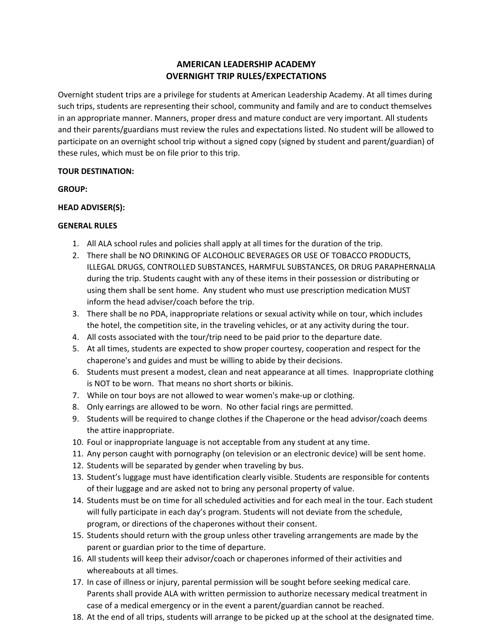# **AMERICAN LEADERSHIP ACADEMY OVERNIGHT TRIP RULES/EXPECTATIONS**

Overnight student trips are a privilege for students at American Leadership Academy. At all times during such trips, students are representing their school, community and family and are to conduct themselves in an appropriate manner. Manners, proper dress and mature conduct are very important. All students and their parents/guardians must review the rules and expectations listed. No student will be allowed to participate on an overnight school trip without a signed copy (signed by student and parent/guardian) of these rules, which must be on file prior to this trip.

## **TOUR DESTINATION:**

**GROUP:**

## **HEAD ADVISER(S):**

## **GENERAL RULES**

- 1. All ALA school rules and policies shall apply at all times for the duration of the trip.
- 2. There shall be NO DRINKING OF ALCOHOLIC BEVERAGES OR USE OF TOBACCO PRODUCTS, ILLEGAL DRUGS, CONTROLLED SUBSTANCES, HARMFUL SUBSTANCES, OR DRUG PARAPHERNALIA during the trip. Students caught with any of these items in their possession or distributing or using them shall be sent home. Any student who must use prescription medication MUST inform the head adviser/coach before the trip.
- 3. There shall be no PDA, inappropriate relations or sexual activity while on tour, which includes the hotel, the competition site, in the traveling vehicles, or at any activity during the tour.
- 4. All costs associated with the tour/trip need to be paid prior to the departure date.
- 5. At all times, students are expected to show proper courtesy, cooperation and respect for the chaperone's and guides and must be willing to abide by their decisions.
- 6. Students must present a modest, clean and neat appearance at all times. Inappropriate clothing is NOT to be worn. That means no short shorts or bikinis.
- 7. While on tour boys are not allowed to wear women's make-up or clothing.
- 8. Only earrings are allowed to be worn. No other facial rings are permitted.
- 9. Students will be required to change clothes if the Chaperone or the head advisor/coach deems the attire inappropriate.
- 10. Foul or inappropriate language is not acceptable from any student at any time.
- 11. Any person caught with pornography (on television or an electronic device) will be sent home.
- 12. Students will be separated by gender when traveling by bus.
- 13. Student's luggage must have identification clearly visible. Students are responsible for contents of their luggage and are asked not to bring any personal property of value.
- 14. Students must be on time for all scheduled activities and for each meal in the tour. Each student will fully participate in each day's program. Students will not deviate from the schedule, program, or directions of the chaperones without their consent.
- 15. Students should return with the group unless other traveling arrangements are made by the parent or guardian prior to the time of departure.
- 16. All students will keep their advisor/coach or chaperones informed of their activities and whereabouts at all times.
- 17. In case of illness or injury, parental permission will be sought before seeking medical care. Parents shall provide ALA with written permission to authorize necessary medical treatment in case of a medical emergency or in the event a parent/guardian cannot be reached.
- 18. At the end of all trips, students will arrange to be picked up at the school at the designated time.